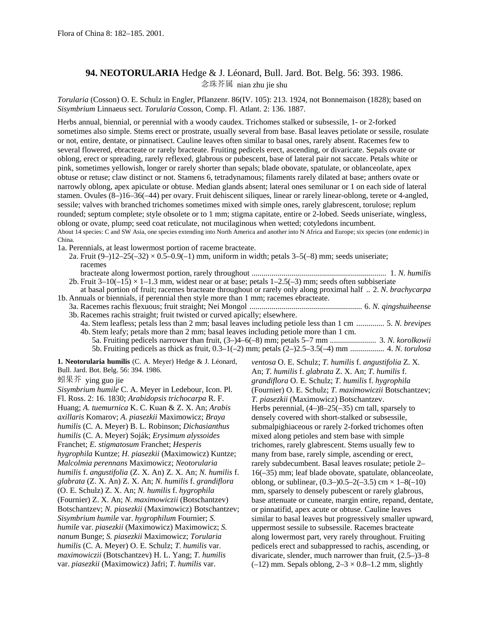## **94. NEOTORULARIA** Hedge & J. Léonard, Bull. Jard. Bot. Belg. 56: 393. 1986. 念珠芥属 nian zhu jie shu

*Torularia* (Cosson) O. E. Schulz in Engler, Pflanzenr. 86(IV. 105): 213. 1924, not Bonnemaison (1828); based on *Sisymbrium* Linnaeus sect. *Torularia* Cosson, Comp. Fl. Atlant. 2: 136. 1887.

Herbs annual, biennial, or perennial with a woody caudex. Trichomes stalked or subsessile, 1- or 2-forked sometimes also simple. Stems erect or prostrate, usually several from base. Basal leaves petiolate or sessile, rosulate or not, entire, dentate, or pinnatisect. Cauline leaves often similar to basal ones, rarely absent. Racemes few to several flowered, ebracteate or rarely bracteate. Fruiting pedicels erect, ascending, or divaricate. Sepals ovate or oblong, erect or spreading, rarely reflexed, glabrous or pubescent, base of lateral pair not saccate. Petals white or pink, sometimes yellowish, longer or rarely shorter than sepals; blade obovate, spatulate, or oblanceolate, apex obtuse or retuse; claw distinct or not. Stamens 6, tetradynamous; filaments rarely dilated at base; anthers ovate or narrowly oblong, apex apiculate or obtuse. Median glands absent; lateral ones semilunar or 1 on each side of lateral stamen. Ovules (8–)16–36(–44) per ovary. Fruit dehiscent siliques, linear or rarely linear-oblong, terete or 4-angled, sessile; valves with branched trichomes sometimes mixed with simple ones, rarely glabrescent, torulose; replum rounded; septum complete; style obsolete or to 1 mm; stigma capitate, entire or 2-lobed. Seeds uniseriate, wingless, oblong or ovate, plump; seed coat reticulate, not mucilaginous when wetted; cotyledons incumbent. About 14 species: C and SW Asia, one species extending into North America and another into N Africa and Europe; six species (one endemic) in China.

1a. Perennials, at least lowermost portion of raceme bracteate.

2a. Fruit  $(9-12-25(-32) \times 0.5-0.9(-1)$  mm, uniform in width; petals 3-5(-8) mm; seeds uniseriate; racemes

| 2b. Fruit $3-10(-15) \times 1-1.3$ mm, widest near or at base; petals $1-2.5(-3)$ mm; seeds often subbiseriate      |
|---------------------------------------------------------------------------------------------------------------------|
| at basal portion of fruit; racemes bracteate throughout or rarely only along proximal half  2. N. brachycarpa       |
| 1b. Annuals or biennials, if perennial then style more than 1 mm; racemes ebracteate.                               |
|                                                                                                                     |
| 3b. Racemes rachis straight; fruit twisted or curved apically; elsewhere.                                           |
| 4a. Stem leafless; petals less than 2 mm; basal leaves including petiole less than 1 cm  5. N. brevipes             |
| 4b. Stem leafy; petals more than 2 mm; basal leaves including petiole more than 1 cm.                               |
|                                                                                                                     |
|                                                                                                                     |
| 1. Neotorularia humilis (C. A. Meyer) Hedge & J. Léonard,<br>ventosa O. E. Schulz; T. humilis f. angustifolia Z. X. |

Bull. Jard. Bot. Belg. 56: 394. 1986.

蚓果芥 ying guo jie

*Sisymbrium humile* C. A. Meyer in Ledebour, Icon. Pl. Fl. Ross. 2: 16. 1830; *Arabidopsis trichocarpa* R. F. Huang; *A. tuemurnica* K. C. Kuan & Z. X. An; *Arabis axillaris* Komarov; *A. piasezkii* Maximowicz; *Braya humilis* (C. A. Meyer) B. L. Robinson; *Dichasianthus humilis* (C. A. Meyer) Soják; *Erysimum alyssoides* Franchet; *E. stigmatosum* Franchet; *Hesperis hygrophila* Kuntze; *H. piasezkii* (Maximowicz) Kuntze; *Malcolmia perennans* Maximowicz; *Neotorularia humilis* f. *angustifolia* (Z. X. An) Z. X. An; *N. humilis* f. *glabrata* (Z. X. An) Z. X. An; *N. humilis* f. *grandiflora* (O. E. Schulz) Z. X. An; *N. humilis* f. *hygrophila* (Fournier) Z. X. An; *N. maximowiczii* (Botschantzev) Botschantzev; *N. piasezkii* (Maximowicz) Botschantzev; *Sisymbrium humile* var. *hygrophilum* Fournier; *S. humile* var. *piasezkii* (Maximowicz) Maximowicz; *S. nanum* Bunge; *S. piasezkii* Maximowicz; *Torularia humilis* (C. A. Meyer) O. E. Schulz; *T. humilis* var. *maximowiczii* (Botschantzev) H. L. Yang; *T. humilis* var. *piasezkii* (Maximowicz) Jafri; *T. humilis* var.

An; *T. humilis* f. *glabrata* Z. X. An; *T. humilis* f. *grandiflora* O. E. Schulz; *T. humilis* f. *hygrophila* (Fournier) O. E. Schulz; *T. maximowiczii* Botschantzev; *T. piasezkii* (Maximowicz) Botschantzev. Herbs perennial, (4–)8–25(–35) cm tall, sparsely to densely covered with short-stalked or subsessile, submalpighiaceous or rarely 2-forked trichomes often mixed along petioles and stem base with simple trichomes, rarely glabrescent. Stems usually few to many from base, rarely simple, ascending or erect, rarely subdecumbent. Basal leaves rosulate; petiole 2– 16(–35) mm; leaf blade obovate, spatulate, oblanceolate, oblong, or sublinear,  $(0.3-)0.5-2(-3.5)$  cm  $\times$  1-8(-10) mm, sparsely to densely pubescent or rarely glabrous, base attenuate or cuneate, margin entire, repand, dentate, or pinnatifid, apex acute or obtuse. Cauline leaves similar to basal leaves but progressively smaller upward, uppermost sessile to subsessile. Racemes bracteate along lowermost part, very rarely throughout. Fruiting pedicels erect and subappressed to rachis, ascending, or divaricate, slender, much narrower than fruit, (2.5–)3–8  $(-12)$  mm. Sepals oblong,  $2-3 \times 0.8-1.2$  mm, slightly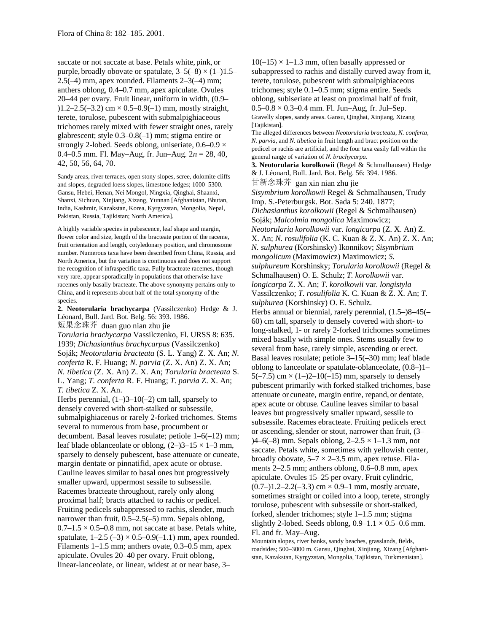saccate or not saccate at base. Petals white, pink, or purple, broadly obovate or spatulate,  $3-5(-8) \times (1-)1.5-$ 2.5(–4) mm, apex rounded. Filaments 2–3(–4) mm; anthers oblong, 0.4–0.7 mm, apex apiculate. Ovules 20–44 per ovary. Fruit linear, uniform in width, (0.9–  $(1.2-2.5(-3.2) \text{ cm} \times 0.5-0.9(-1) \text{ mm}$ , mostly straight, terete, torulose, pubescent with submalpighiaceous trichomes rarely mixed with fewer straight ones, rarely glabrescent; style 0.3–0.8(–1) mm; stigma entire or strongly 2-lobed. Seeds oblong, uniseriate,  $0.6-0.9 \times$ 0.4–0.5 mm. Fl. May–Aug, fr. Jun–Aug. 2*n* = 28, 40, 42, 50, 56, 64, 70.

Sandy areas, river terraces, open stony slopes, scree, dolomite cliffs and slopes, degraded loess slopes, limestone ledges; 1000–5300. Gansu, Hebei, Henan, Nei Mongol, Ningxia, Qinghai, Shaanxi, Shanxi, Sichuan, Xinjiang, Xizang, Yunnan [Afghanistan, Bhutan, India, Kashmir, Kazakstan, Korea, Kyrgyzstan, Mongolia, Nepal, Pakistan, Russia, Tajikistan; North America].

A highly variable species in pubescence, leaf shape and margin, flower color and size, length of the bracteate portion of the raceme, fruit orientation and length, cotyledonary position, and chromosome number. Numerous taxa have been described from China, Russia, and North America, but the variation is continuous and does not support the recognition of infraspecific taxa. Fully bracteate racemes, though very rare, appear sporadically in populations that otherwise have racemes only basally bracteate. The above synonymy pertains only to China, and it represents about half of the total synonymy of the species.

**2. Neotorularia brachycarpa** (Vassilczenko) Hedge & J. Léonard, Bull. Jard. Bot. Belg. 56: 393. 1986. 短果念珠芥 duan guo nian zhu jie

*Torularia brachycarpa* Vassilczenko, Fl. URSS 8: 635. 1939; *Dichasianthus brachycarpus* (Vassilczenko) Soják; *Neotorularia bracteata* (S. L. Yang) Z. X. An; *N. conferta* R. F. Huang; *N. parvia* (Z. X. An) Z. X. An; *N. tibetica* (Z. X. An) Z. X. An; *Torularia bracteata* S. L. Yang; *T. conferta* R. F. Huang; *T. parvia* Z. X. An; *T. tibetica* Z. X. An.

Herbs perennial,  $(1-3-10(-2))$  cm tall, sparsely to densely covered with short-stalked or subsessile, submalpighiaceous or rarely 2-forked trichomes. Stems several to numerous from base, procumbent or decumbent. Basal leaves rosulate; petiole 1–6(–12) mm; leaf blade oblanceolate or oblong,  $(2-)3-15 \times 1-3$  mm, sparsely to densely pubescent, base attenuate or cuneate, margin dentate or pinnatifid, apex acute or obtuse. Cauline leaves similar to basal ones but progressively smaller upward, uppermost sessile to subsessile. Racemes bracteate throughout, rarely only along proximal half; bracts attached to rachis or pedicel. Fruiting pedicels subappressed to rachis, slender, much narrower than fruit, 0.5–2.5(–5) mm. Sepals oblong,  $0.7-1.5 \times 0.5-0.8$  mm, not saccate at base. Petals white, spatulate,  $1-2.5$  ( $-3$ )  $\times$  0.5 $-0.9$ ( $-1.1$ ) mm, apex rounded. Filaments 1–1.5 mm; anthers ovate, 0.3–0.5 mm, apex apiculate. Ovules 20–40 per ovary. Fruit oblong, linear-lanceolate, or linear, widest at or near base, 3–

 $10(-15) \times 1-1.3$  mm, often basally appressed or subappressed to rachis and distally curved away from it, terete, torulose, pubescent with submalpighiaceous trichomes; style 0.1–0.5 mm; stigma entire. Seeds oblong, subiseriate at least on proximal half of fruit,  $0.5-0.8 \times 0.3-0.4$  mm. Fl. Jun–Aug, fr. Jul–Sep. Gravelly slopes, sandy areas. Gansu, Qinghai, Xinjiang, Xizang [Tajikistan]. The alleged differences between *Neotorularia bracteata, N. conferta, N. parvia,* and *N. tibetica* in fruit length and bract position on the pedicel or rachis are artificial, and the four taxa easily fall within the general range of variation of *N. brachycarpa*. **3. Neotorularia korolkowii** (Regel & Schmalhausen) Hedge & J. Léonard, Bull. Jard. Bot. Belg. 56: 394. 1986. 甘新念珠芥 gan xin nian zhu jie *Sisymbrium korolkowii* Regel & Schmalhausen, Trudy Imp. S.-Peterburgsk. Bot. Sada 5: 240. 1877; *Dichasianthus korolkowii* (Regel & Schmalhausen) Soják; *Malcolmia mongolica* Maximowicz; *Neotorularia korolkowii* var. *longicarpa* (Z. X. An) Z. X. An; *N. rosulifolia* (K. C. Kuan & Z. X. An) Z. X. An; *N. sulphurea* (Korshinsky) Ikonnikov; *Sisymbrium mongolicum* (Maximowicz) Maximowicz; *S. sulphureum* Korshinsky; *Torularia korolkowii* (Regel & Schmalhausen) O. E. Schulz; *T. korolkowii* var. *longicarpa* Z. X. An; *T. korolkowii* var. *longistyla* Vassilczenko; *T. rosulifolia* K. C. Kuan & Z. X. An; *T. sulphurea* (Korshinsky) O. E. Schulz. Herbs annual or biennial, rarely perennial, (1.5–)8–45(– 60) cm tall, sparsely to densely covered with short- to long-stalked, 1- or rarely 2-forked trichomes sometimes mixed basally with simple ones. Stems usually few to several from base, rarely simple, ascending or erect. Basal leaves rosulate; petiole 3–15(–30) mm; leaf blade oblong to lanceolate or spatulate-oblanceolate, (0.8–)1– 5( $-7.5$ ) cm  $\times$  (1 $-$ )2 $-10$ ( $-15$ ) mm, sparsely to densely pubescent primarily with forked stalked trichomes, base attenuate or cuneate, margin entire, repand, or dentate, apex acute or obtuse. Cauline leaves similar to basal leaves but progressively smaller upward, sessile to subsessile. Racemes ebracteate. Fruiting pedicels erect or ascending, slender or stout, narrower than fruit, (3– )4–6(–8) mm. Sepals oblong, 2–2.5 × 1–1.3 mm, not saccate. Petals white, sometimes with yellowish center, broadly obovate,  $5-7 \times 2-3.5$  mm, apex retuse. Filaments 2–2.5 mm; anthers oblong, 0.6–0.8 mm, apex apiculate. Ovules 15–25 per ovary. Fruit cylindric,  $(0.7-)1.2-2.2(-3.3)$  cm  $\times$  0.9-1 mm, mostly arcuate, sometimes straight or coiled into a loop, terete, strongly torulose, pubescent with subsessile or short-stalked, forked, slender trichomes; style 1–1.5 mm; stigma slightly 2-lobed. Seeds oblong,  $0.9-1.1 \times 0.5-0.6$  mm. Fl. and fr. May–Aug.

Mountain slopes, river banks, sandy beaches, grasslands, fields, roadsides; 500–3000 m. Gansu, Qinghai, Xinjiang, Xizang [Afghanistan, Kazakstan, Kyrgyzstan, Mongolia, Tajikistan, Turkmenistan].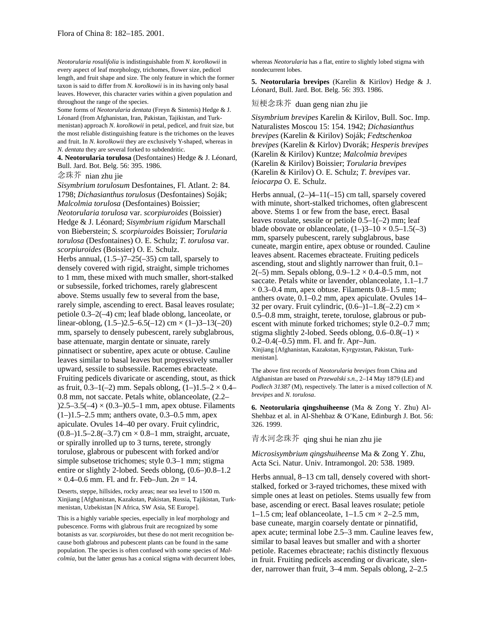*Neotorularia rosulifolia* is indistinguishable from *N. korolkowii* in every aspect of leaf morphology, trichomes, flower size, pedicel length, and fruit shape and size. The only feature in which the former taxon is said to differ from *N. korolkowii* is in its having only basal leaves. However, this character varies within a given population and throughout the range of the species.

Some forms of *Neotorularia dentata* (Freyn & Sintenis) Hedge & J. Léonard (from Afghanistan, Iran, Pakistan, Tajikistan, and Turkmenistan) approach *N. korolkowii* in petal, pedicel, and fruit size, but the most reliable distinguishing feature is the trichomes on the leaves and fruit. In *N. korolkowii* they are exclusively Y-shaped, whereas in *N. dentata* they are several forked to subdendritic.

**4. Neotorularia torulosa** (Desfontaines) Hedge & J. Léonard, Bull. Jard. Bot. Belg. 56: 395. 1986.

## 念珠芥 nian zhu jie

*Sisymbrium torulosum* Desfontaines, Fl. Atlant. 2: 84. 1798; *Dichasianthus torulosus* (Desfontaines) Soják; *Malcolmia torulosa* (Desfontaines) Boissier; *Neotorularia torulosa* var. *scorpiuroides* (Boissier) Hedge & J. Léonard; *Sisymbrium rigidum* Marschall von Bieberstein; *S. scorpiuroides* Boissier; *Torularia torulosa* (Desfontaines) O. E. Schulz; *T. torulosa* var. *scorpiuroides* (Boissier) O. E. Schulz. Herbs annual,  $(1.5-77-25(-35)$  cm tall, sparsely to densely covered with rigid, straight, simple trichomes to 1 mm, these mixed with much smaller, short-stalked or subsessile, forked trichomes, rarely glabrescent above. Stems usually few to several from the base, rarely simple, ascending to erect. Basal leaves rosulate; petiole 0.3–2(–4) cm; leaf blade oblong, lanceolate, or linear-oblong,  $(1.5-)2.5-6.5(-12)$  cm  $\times$   $(1-)3-13(-20)$ mm, sparsely to densely pubescent, rarely subglabrous, base attenuate, margin dentate or sinuate, rarely pinnatisect or subentire, apex acute or obtuse. Cauline leaves similar to basal leaves but progressively smaller upward, sessile to subsessile. Racemes ebracteate. Fruiting pedicels divaricate or ascending, stout, as thick as fruit,  $0.3-1(-2)$  mm. Sepals oblong,  $(1-)1.5-2 \times 0.4-$ 0.8 mm, not saccate. Petals white, oblanceolate, (2.2–  $(2.5-3.5(-4) \times (0.3-0.5-1 \text{ mm})$ , apex obtuse. Filaments  $(1–)1.5–2.5$  mm; anthers ovate, 0.3–0.5 mm, apex apiculate. Ovules 14–40 per ovary. Fruit cylindric,  $(0.8-)1.5-2.8(-3.7)$  cm  $\times$  0.8-1 mm, straight, arcuate, or spirally inrolled up to 3 turns, terete, strongly torulose, glabrous or pubescent with forked and/or simple subsetose trichomes; style 0.3–1 mm; stigma entire or slightly 2-lobed. Seeds oblong, (0.6–)0.8–1.2  $\times$  0.4–0.6 mm. Fl. and fr. Feb–Jun.  $2n = 14$ .

Deserts, steppe, hillsides, rocky areas; near sea level to 1500 m. Xinjiang [Afghanistan, Kazakstan, Pakistan, Russia, Tajikistan, Turkmenistan, Uzbekistan [N Africa, SW Asia, SE Europe].

This is a highly variable species, especially in leaf morphology and pubescence. Forms with glabrous fruit are recognized by some botanists as var. *scorpiuroides,* but these do not merit recognition because both glabrous and pubescent plants can be found in the same population. The species is often confused with some species of *Malcolmia,* but the latter genus has a conical stigma with decurrent lobes, whereas *Neotorularia* has a flat, entire to slightly lobed stigma with nondecurrent lobes.

**5. Neotorularia brevipes** (Karelin & Kirilov) Hedge & J. Léonard, Bull. Jard. Bot. Belg. 56: 393. 1986.

## 短梗念珠芥 duan geng nian zhu jie

*Sisymbrium brevipes* Karelin & Kirilov, Bull. Soc. Imp. Naturalistes Moscou 15: 154. 1942; *Dichasianthus brevipes* (Karelin & Kirilov) Soják; *Fedtschenkoa brevipes* (Karelin & Kirlov) Dvorák; *Hesperis brevipes* (Karelin & Kirilov) Kuntze; *Malcolmia brevipes* (Karelin & Kirilov) Boissier; *Torularia brevipes* (Karelin & Kirilov) O. E. Schulz; *T. brevipes* var. *leiocarpa* O. E. Schulz.

Herbs annual,  $(2-)4-11(-15)$  cm tall, sparsely covered with minute, short-stalked trichomes, often glabrescent above. Stems 1 or few from the base, erect. Basal leaves rosulate, sessile or petiole 0.5–1(–2) mm; leaf blade obovate or oblanceolate,  $(1-3-10 \times 0.5-1.5(-3))$ mm, sparsely pubescent, rarely subglabrous, base cuneate, margin entire, apex obtuse or rounded. Cauline leaves absent. Racemes ebracteate. Fruiting pedicels ascending, stout and slightly narrower than fruit, 0.1– 2(-5) mm. Sepals oblong,  $0.9-1.2 \times 0.4-0.5$  mm, not saccate. Petals white or lavender, oblanceolate, 1.1–1.7  $\times$  0.3–0.4 mm, apex obtuse. Filaments 0.8–1.5 mm; anthers ovate, 0.1–0.2 mm, apex apiculate. Ovules 14– 32 per ovary. Fruit cylindric,  $(0.6–)1–1.8(-2.2)$  cm  $\times$ 0.5–0.8 mm, straight, terete, torulose, glabrous or pubescent with minute forked trichomes; style 0.2–0.7 mm; stigma slightly 2-lobed. Seeds oblong,  $0.6-0.8(-1) \times$ 0.2–0.4(–0.5) mm. Fl. and fr. Apr–Jun. Xinjiang [Afghanistan, Kazakstan, Kyrgyzstan, Pakistan, Turkmenistan].

The above first records of *Neotorularia brevipes* from China and Afghanistan are based on *Przewalski s.n.,* 2–14 May 1879 (LE) and *Podlech 31387* (M), respectively. The latter is a mixed collection of *N. brevipes* and *N. torulosa*.

**6. Neotorularia qingshuiheense** (Ma & Zong Y. Zhu) Al-Shehbaz et al. in Al-Shehbaz & O'Kane, Edinburgh J. Bot. 56: 326. 1999.

青水河念珠芥 qing shui he nian zhu jie

*Microsisymbrium qingshuiheense* Ma & Zong Y. Zhu, Acta Sci. Natur. Univ. Intramongol. 20: 538. 1989.

Herbs annual, 8–13 cm tall, densely covered with shortstalked, forked or 3-rayed trichomes, these mixed with simple ones at least on petioles. Stems usually few from base, ascending or erect. Basal leaves rosulate; petiole 1–1.5 cm; leaf oblanceolate,  $1-1.5$  cm  $\times$  2–2.5 mm, base cuneate, margin coarsely dentate or pinnatifid, apex acute; terminal lobe 2.5–3 mm. Cauline leaves few, similar to basal leaves but smaller and with a shorter petiole. Racemes ebracteate; rachis distinctly flexuous in fruit. Fruiting pedicels ascending or divaricate, slender, narrower than fruit, 3–4 mm. Sepals oblong, 2–2.5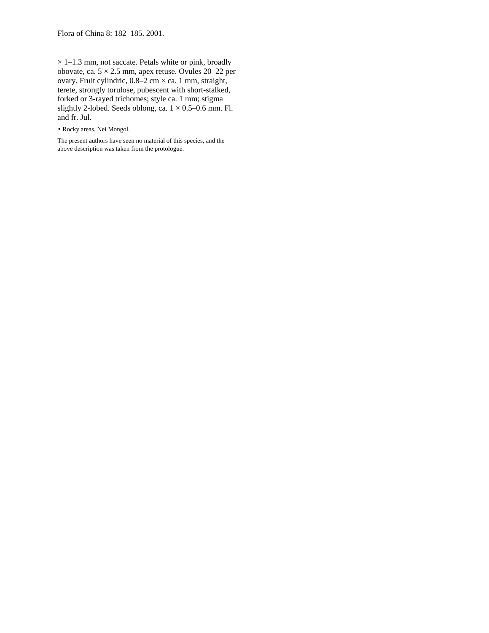$\times$  1–1.3 mm, not saccate. Petals white or pink, broadly obovate, ca. 5 × 2.5 mm, apex retuse. Ovules 20–22 per ovary. Fruit cylindric, 0.8–2 cm × ca. 1 mm, straight, terete, strongly torulose, pubescent with short-stalked, forked or 3-rayed trichomes; style ca. 1 mm; stigma slightly 2-lobed. Seeds oblong, ca.  $1 \times 0.5$ –0.6 mm. Fl. and fr. Jul.

• Rocky areas. Nei Mongol.

The present authors have seen no material of this species, and the above description was taken from the protologue.